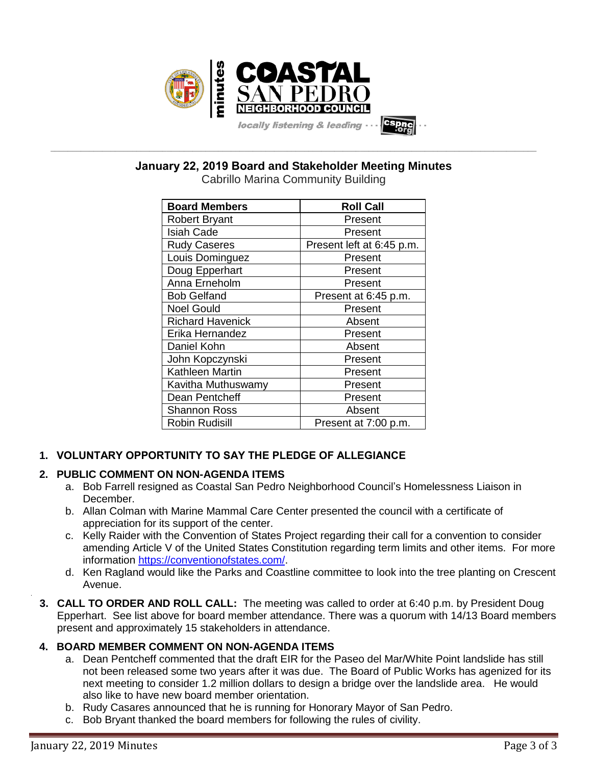

**\_\_\_\_\_\_\_\_\_\_\_\_\_\_\_\_\_\_\_\_\_\_\_\_\_\_\_\_\_\_\_\_\_\_\_\_\_\_\_\_\_\_\_\_\_\_\_\_\_\_\_\_\_\_\_\_\_\_\_\_\_\_\_\_\_\_\_\_\_\_\_\_\_\_\_\_\_\_\_\_\_\_\_\_\_\_\_\_\_\_\_\_\_\_\_\_\_\_\_\_\_\_\_\_\_\_\_\_\_\_\_\_\_ January 22, 2019 Board and Stakeholder Meeting Minutes**

Cabrillo Marina Community Building

| <b>Board Members</b>    | <b>Roll Call</b>          |
|-------------------------|---------------------------|
| <b>Robert Bryant</b>    | Present                   |
| <b>Isiah Cade</b>       | Present                   |
| <b>Rudy Caseres</b>     | Present left at 6:45 p.m. |
| Louis Dominguez         | Present                   |
| Doug Epperhart          | Present                   |
| Anna Erneholm           | Present                   |
| <b>Bob Gelfand</b>      | Present at 6:45 p.m.      |
| <b>Noel Gould</b>       | Present                   |
| <b>Richard Havenick</b> | Absent                    |
| Erika Hernandez         | Present                   |
| Daniel Kohn             | Absent                    |
| John Kopczynski         | Present                   |
| Kathleen Martin         | Present                   |
| Kavitha Muthuswamy      | Present                   |
| Dean Pentcheff          | Present                   |
| Shannon Ross            | Absent                    |
| <b>Robin Rudisill</b>   | Present at 7:00 p.m.      |

# **1. VOLUNTARY OPPORTUNITY TO SAY THE PLEDGE OF ALLEGIANCE**

## **2. PUBLIC COMMENT ON NON-AGENDA ITEMS**

- a. Bob Farrell resigned as Coastal San Pedro Neighborhood Council's Homelessness Liaison in December.
- b. Allan Colman with Marine Mammal Care Center presented the council with a certificate of appreciation for its support of the center.
- c. Kelly Raider with the Convention of States Project regarding their call for a convention to consider amending Article V of the United States Constitution regarding term limits and other items. For more information [https://conventionofstates.com/.](https://conventionofstates.com/)
- d. Ken Ragland would like the Parks and Coastline committee to look into the tree planting on Crescent Avenue.
- **3. CALL TO ORDER AND ROLL CALL:** The meeting was called to order at 6:40 p.m. by President Doug Epperhart. See list above for board member attendance. There was a quorum with 14/13 Board members present and approximately 15 stakeholders in attendance.

## **4. BOARD MEMBER COMMENT ON NON-AGENDA ITEMS**

- a. Dean Pentcheff commented that the draft EIR for the Paseo del Mar/White Point landslide has still not been released some two years after it was due. The Board of Public Works has agenized for its next meeting to consider 1.2 million dollars to design a bridge over the landslide area. He would also like to have new board member orientation.
- b. Rudy Casares announced that he is running for Honorary Mayor of San Pedro.
- c. Bob Bryant thanked the board members for following the rules of civility.

.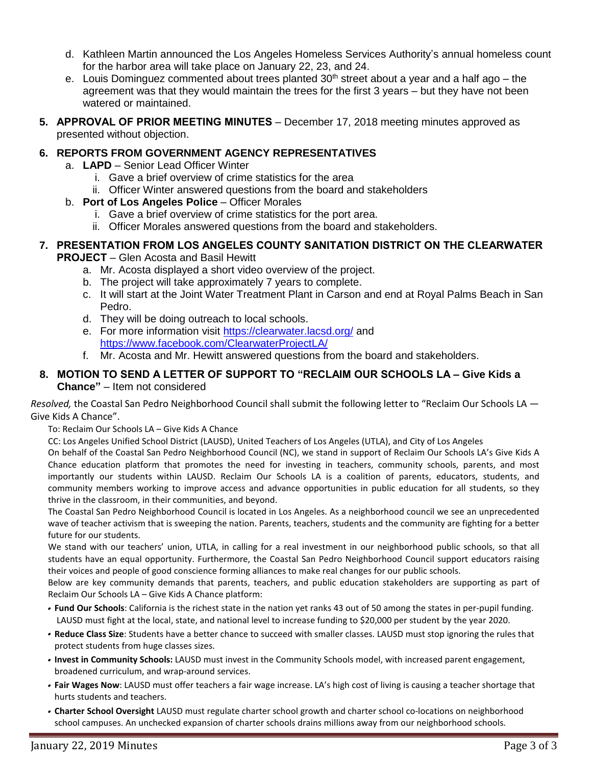- d. Kathleen Martin announced the Los Angeles Homeless Services Authority's annual homeless count for the harbor area will take place on January 22, 23, and 24.
- e. Louis Dominguez commented about trees planted  $30<sup>th</sup>$  street about a year and a half ago the agreement was that they would maintain the trees for the first 3 years – but they have not been watered or maintained.
- **5. APPROVAL OF PRIOR MEETING MINUTES** December 17, 2018 meeting minutes approved as presented without objection.

#### **6. REPORTS FROM GOVERNMENT AGENCY REPRESENTATIVES**

- a. **LAPD** Senior Lead Officer Winter
	- i. Gave a brief overview of crime statistics for the area
	- ii. Officer Winter answered questions from the board and stakeholders
- b. **Port of Los Angeles Police** Officer Morales
	- i. Gave a brief overview of crime statistics for the port area.
	- ii. Officer Morales answered questions from the board and stakeholders.

#### **7. PRESENTATION FROM LOS ANGELES COUNTY SANITATION DISTRICT ON THE CLEARWATER PROJECT** – Glen Acosta and Basil Hewitt

- a. Mr. Acosta displayed a short video overview of the project.
- b. The project will take approximately 7 years to complete.
- c. It will start at the Joint Water Treatment Plant in Carson and end at Royal Palms Beach in San Pedro.
- d. They will be doing outreach to local schools.
- e. For more information visit <https://clearwater.lacsd.org/> and <https://www.facebook.com/ClearwaterProjectLA/>
- f. Mr. Acosta and Mr. Hewitt answered questions from the board and stakeholders.

#### **8. MOTION TO SEND A LETTER OF SUPPORT TO "RECLAIM OUR SCHOOLS LA – Give Kids a Chance"** – Item not considered

*Resolved,* the Coastal San Pedro Neighborhood Council shall submit the following letter to "Reclaim Our Schools LA — Give Kids A Chance".

To: Reclaim Our Schools LA – Give Kids A Chance

CC: Los Angeles Unified School District (LAUSD), United Teachers of Los Angeles (UTLA), and City of Los Angeles

On behalf of the Coastal San Pedro Neighborhood Council (NC), we stand in support of Reclaim Our Schools LA's Give Kids A Chance education platform that promotes the need for investing in teachers, community schools, parents, and most importantly our students within LAUSD. Reclaim Our Schools LA is a coalition of parents, educators, students, and community members working to improve access and advance opportunities in public education for all students, so they thrive in the classroom, in their communities, and beyond.

The Coastal San Pedro Neighborhood Council is located in Los Angeles. As a neighborhood council we see an unprecedented wave of teacher activism that is sweeping the nation. Parents, teachers, students and the community are fighting for a better future for our students.

We stand with our teachers' union, UTLA, in calling for a real investment in our neighborhood public schools, so that all students have an equal opportunity. Furthermore, the Coastal San Pedro Neighborhood Council support educators raising their voices and people of good conscience forming alliances to make real changes for our public schools.

Below are key community demands that parents, teachers, and public education stakeholders are supporting as part of Reclaim Our Schools LA – Give Kids A Chance platform:

- **Fund Our Schools**: California is the richest state in the nation yet ranks 43 out of 50 among the states in per-pupil funding. LAUSD must fight at the local, state, and national level to increase funding to \$20,000 per student by the year 2020.
- **Reduce Class Size**: Students have a better chance to succeed with smaller classes. LAUSD must stop ignoring the rules that protect students from huge classes sizes.
- **Invest in Community Schools:** LAUSD must invest in the Community Schools model, with increased parent engagement, broadened curriculum, and wrap-around services.
- **Fair Wages Now**: LAUSD must offer teachers a fair wage increase. LA's high cost of living is causing a teacher shortage that hurts students and teachers.
- **Charter School Oversight** LAUSD must regulate charter school growth and charter school co-locations on neighborhood school campuses. An unchecked expansion of charter schools drains millions away from our neighborhood schools.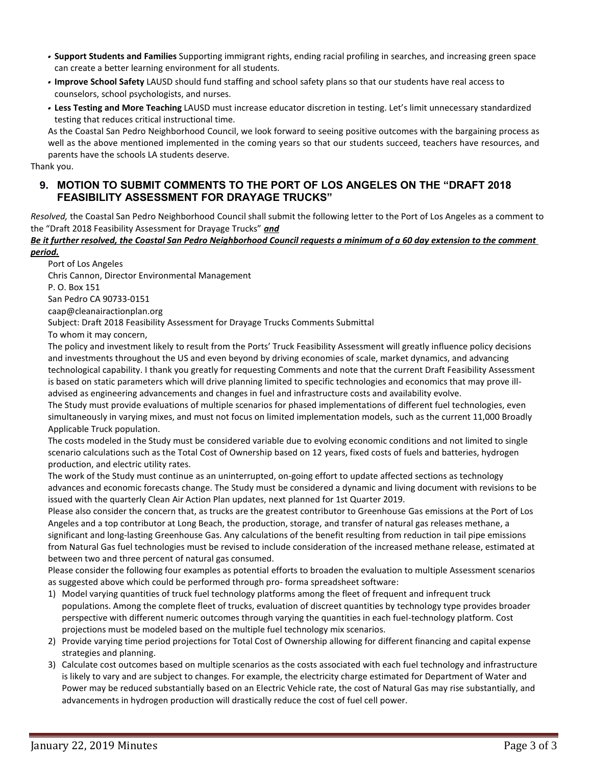- **Support Students and Families** Supporting immigrant rights, ending racial profiling in searches, and increasing green space can create a better learning environment for all students.
- **Improve School Safety** LAUSD should fund staffing and school safety plans so that our students have real access to counselors, school psychologists, and nurses.
- **Less Testing and More Teaching** LAUSD must increase educator discretion in testing. Let's limit unnecessary standardized testing that reduces critical instructional time.

As the Coastal San Pedro Neighborhood Council, we look forward to seeing positive outcomes with the bargaining process as well as the above mentioned implemented in the coming years so that our students succeed, teachers have resources, and parents have the schools LA students deserve.

Thank you.

#### **9. MOTION TO SUBMIT COMMENTS TO THE PORT OF LOS ANGELES ON THE "DRAFT 2018 FEASIBILITY ASSESSMENT FOR DRAYAGE TRUCKS"**

*Resolved,* the Coastal San Pedro Neighborhood Council shall submit the following letter to the Port of Los Angeles as a comment to the "Draft 2018 Feasibility Assessment for Drayage Trucks" *and*

#### *Be it further resolved, the Coastal San Pedro Neighborhood Council requests a minimum of a 60 day extension to the comment period.*

Port of Los Angeles Chris Cannon, Director Environmental Management P. O. Box 151 San Pedro CA 90733-0151 caap@cleanairactionplan.org

Subject: Draft 2018 Feasibility Assessment for Drayage Trucks Comments Submittal

To whom it may concern,

The policy and investment likely to result from the Ports' Truck Feasibility Assessment will greatly influence policy decisions and investments throughout the US and even beyond by driving economies of scale, market dynamics, and advancing technological capability. I thank you greatly for requesting Comments and note that the current Draft Feasibility Assessment is based on static parameters which will drive planning limited to specific technologies and economics that may prove illadvised as engineering advancements and changes in fuel and infrastructure costs and availability evolve.

The Study must provide evaluations of multiple scenarios for phased implementations of different fuel technologies, even simultaneously in varying mixes, and must not focus on limited implementation models, such as the current 11,000 Broadly Applicable Truck population.

The costs modeled in the Study must be considered variable due to evolving economic conditions and not limited to single scenario calculations such as the Total Cost of Ownership based on 12 years, fixed costs of fuels and batteries, hydrogen production, and electric utility rates.

The work of the Study must continue as an uninterrupted, on-going effort to update affected sections as technology advances and economic forecasts change. The Study must be considered a dynamic and living document with revisions to be issued with the quarterly Clean Air Action Plan updates, next planned for 1st Quarter 2019.

Please also consider the concern that, as trucks are the greatest contributor to Greenhouse Gas emissions at the Port of Los Angeles and a top contributor at Long Beach, the production, storage, and transfer of natural gas releases methane, a significant and long-lasting Greenhouse Gas. Any calculations of the benefit resulting from reduction in tail pipe emissions from Natural Gas fuel technologies must be revised to include consideration of the increased methane release, estimated at between two and three percent of natural gas consumed.

Please consider the following four examples as potential efforts to broaden the evaluation to multiple Assessment scenarios as suggested above which could be performed through pro- forma spreadsheet software:

- 1) Model varying quantities of truck fuel technology platforms among the fleet of frequent and infrequent truck populations. Among the complete fleet of trucks, evaluation of discreet quantities by technology type provides broader perspective with different numeric outcomes through varying the quantities in each fuel-technology platform. Cost projections must be modeled based on the multiple fuel technology mix scenarios.
- 2) Provide varying time period projections for Total Cost of Ownership allowing for different financing and capital expense strategies and planning.
- 3) Calculate cost outcomes based on multiple scenarios as the costs associated with each fuel technology and infrastructure is likely to vary and are subject to changes. For example, the electricity charge estimated for Department of Water and Power may be reduced substantially based on an Electric Vehicle rate, the cost of Natural Gas may rise substantially, and advancements in hydrogen production will drastically reduce the cost of fuel cell power.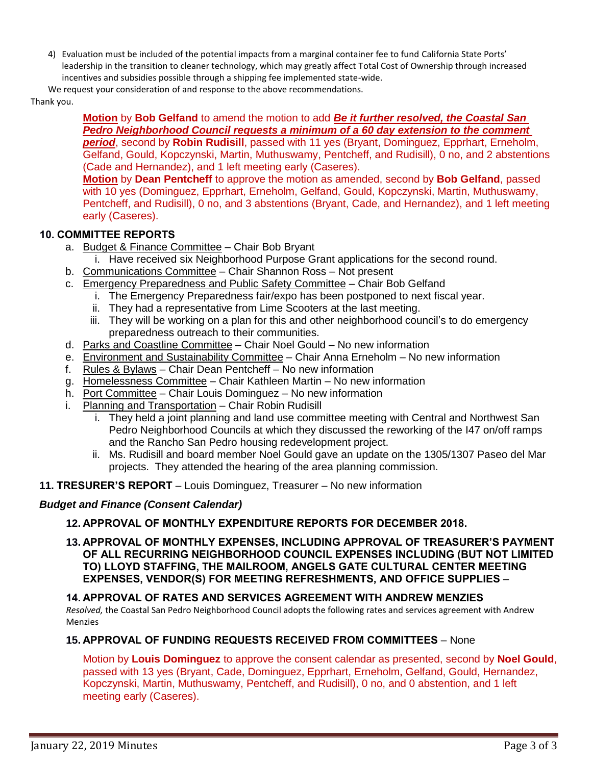4) Evaluation must be included of the potential impacts from a marginal container fee to fund California State Ports' leadership in the transition to cleaner technology, which may greatly affect Total Cost of Ownership through increased incentives and subsidies possible through a shipping fee implemented state-wide.

We request your consideration of and response to the above recommendations.

Thank you.

## **Motion** by **Bob Gelfand** to amend the motion to add *Be it further resolved, the Coastal San Pedro Neighborhood Council requests a minimum of a 60 day extension to the comment period*, second by **Robin Rudisill**, passed with 11 yes (Bryant, Dominguez, Epprhart, Erneholm,

Gelfand, Gould, Kopczynski, Martin, Muthuswamy, Pentcheff, and Rudisill), 0 no, and 2 abstentions (Cade and Hernandez), and 1 left meeting early (Caseres).

**Motion** by **Dean Pentcheff** to approve the motion as amended, second by **Bob Gelfand**, passed with 10 yes (Dominguez, Epprhart, Erneholm, Gelfand, Gould, Kopczynski, Martin, Muthuswamy, Pentcheff, and Rudisill), 0 no, and 3 abstentions (Bryant, Cade, and Hernandez), and 1 left meeting early (Caseres).

# **10. COMMITTEE REPORTS**

- a. Budget & Finance Committee Chair Bob Bryant
	- i. Have received six Neighborhood Purpose Grant applications for the second round.
- b. Communications Committee Chair Shannon Ross Not present
- c. Emergency Preparedness and Public Safety Committee Chair Bob Gelfand
	- i. The Emergency Preparedness fair/expo has been postponed to next fiscal year.
	- ii. They had a representative from Lime Scooters at the last meeting.
	- iii. They will be working on a plan for this and other neighborhood council's to do emergency preparedness outreach to their communities.
- d. Parks and Coastline Committee Chair Noel Gould No new information
- e. Environment and Sustainability Committee Chair Anna Erneholm No new information
- f. Rules & Bylaws Chair Dean Pentcheff No new information
- g. Homelessness Committee Chair Kathleen Martin No new information
- h. Port Committee Chair Louis Dominguez No new information
- i. Planning and Transportation Chair Robin Rudisill
	- i. They held a joint planning and land use committee meeting with Central and Northwest San Pedro Neighborhood Councils at which they discussed the reworking of the I47 on/off ramps and the Rancho San Pedro housing redevelopment project.
	- ii. Ms. Rudisill and board member Noel Gould gave an update on the 1305/1307 Paseo del Mar projects. They attended the hearing of the area planning commission.
- **11. TRESURER'S REPORT** Louis Dominguez, Treasurer No new information

# *Budget and Finance (Consent Calendar)*

# **12. APPROVAL OF MONTHLY EXPENDITURE REPORTS FOR DECEMBER 2018.**

**13. APPROVAL OF MONTHLY EXPENSES, INCLUDING APPROVAL OF TREASURER'S PAYMENT OF ALL RECURRING NEIGHBORHOOD COUNCIL EXPENSES INCLUDING (BUT NOT LIMITED TO) LLOYD STAFFING, THE MAILROOM, ANGELS GATE CULTURAL CENTER MEETING EXPENSES, VENDOR(S) FOR MEETING REFRESHMENTS, AND OFFICE SUPPLIES** –

# **14. APPROVAL OF RATES AND SERVICES AGREEMENT WITH ANDREW MENZIES**

*Resolved,* the Coastal San Pedro Neighborhood Council adopts the following rates and services agreement with Andrew Menzies

# **15. APPROVAL OF FUNDING REQUESTS RECEIVED FROM COMMITTEES** – None

Motion by **Louis Dominguez** to approve the consent calendar as presented, second by **Noel Gould**, passed with 13 yes (Bryant, Cade, Dominguez, Epprhart, Erneholm, Gelfand, Gould, Hernandez, Kopczynski, Martin, Muthuswamy, Pentcheff, and Rudisill), 0 no, and 0 abstention, and 1 left meeting early (Caseres).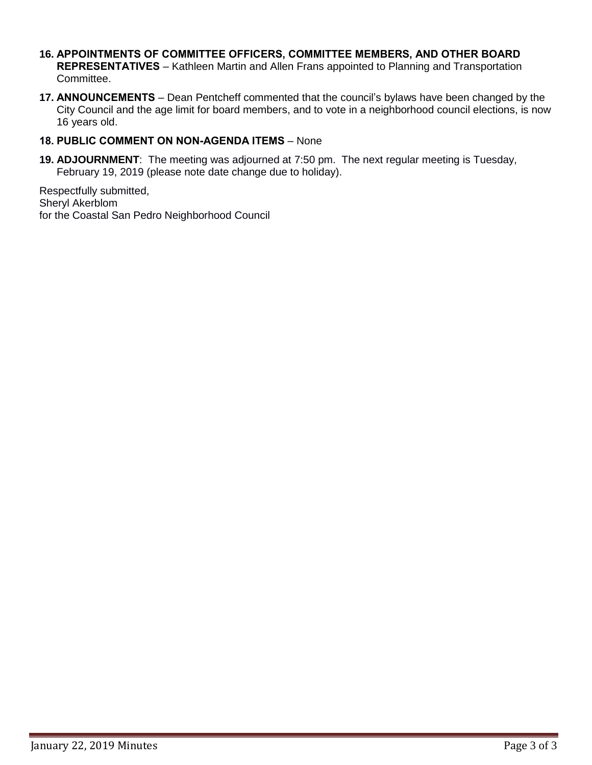- **16. APPOINTMENTS OF COMMITTEE OFFICERS, COMMITTEE MEMBERS, AND OTHER BOARD REPRESENTATIVES** – Kathleen Martin and Allen Frans appointed to Planning and Transportation Committee.
- **17. ANNOUNCEMENTS** Dean Pentcheff commented that the council's bylaws have been changed by the City Council and the age limit for board members, and to vote in a neighborhood council elections, is now 16 years old.

### **18. PUBLIC COMMENT ON NON-AGENDA ITEMS** – None

**19. ADJOURNMENT**:The meeting was adjourned at 7:50 pm. The next regular meeting is Tuesday, February 19, 2019 (please note date change due to holiday).

Respectfully submitted, Sheryl Akerblom for the Coastal San Pedro Neighborhood Council